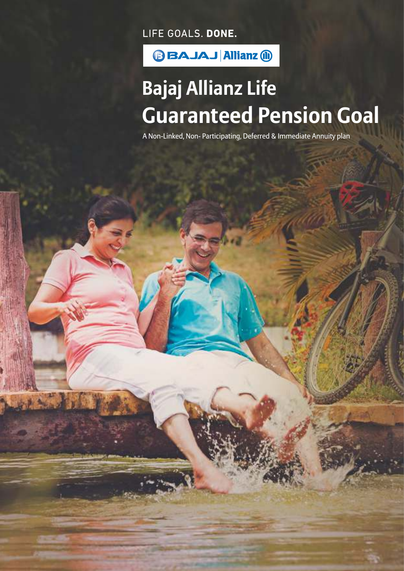LIFE GOALS. DONE.



# **Bajaj Allianz Life Guaranteed Pension Goal**

A Non-Linked, Non- Participating, Deferred & Immediate Annuity plan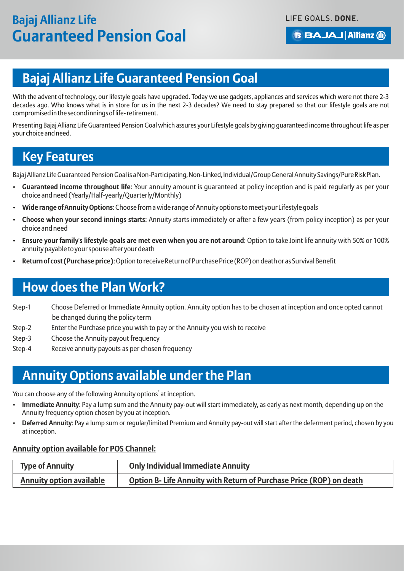# **Bajaj Allianz Life Guaranteed Pension Goal**

With the advent of technology, our lifestyle goals have upgraded. Today we use gadgets, appliances and services which were not there 2-3 decades ago. Who knows what is in store for us in the next 2-3 decades? We need to stay prepared so that our lifestyle goals are not compromised in the second innings of life- retirement.

Presenting Bajaj Allianz Life Guaranteed Pension Goal which assures your Lifestyle goals by giving guaranteed income throughout life as per your choice and need.

### **Key Features**

Bajaj Allianz Life Guaranteed Pension Goal is a Non-Participating, Non-Linked, Individual/Group General Annuity Savings/Pure Risk Plan.

- **Guaranteed income throughout life**: Your annuity amount is guaranteed at policy inception and is paid regularly as per your choice and need (Yearly/Half-yearly/Quarterly/Monthly)
- **Wide range of Annuity Options**: Choose from a wide range of Annuity options to meet your Lifestyle goals
- **Choose when your second innings starts**: Annuity starts immediately or after a few years (from policy inception) as per your choice and need
- **Ensure your family's lifestyle goals are met even when you are not around**: Option to take Joint life annuity with 50% or 100% annuity payable to your spouse after your death
- **Return of cost (Purchase price)**: Option to receive Return of Purchase Price (ROP) on death or as Survival Benefit

### **How does the Plan Work?**

- Step-1 Choose Deferred or Immediate Annuity option. Annuity option has to be chosen at inception and once opted cannot be changed during the policy term
- Step-2 Enter the Purchase price you wish to pay or the Annuity you wish to receive
- Step-3 Choose the Annuity payout frequency
- Step-4 Receive annuity payouts as per chosen frequency

### **Annuity Options available under the Plan**

You can choose any of the following Annuity options<sup>\*</sup> at inception.

- **Immediate Annuity**: Pay a lump sum and the Annuity pay-out will start immediately, as early as next month, depending up on the Annuity frequency option chosen by you at inception.
- **Deferred Annuity**: Pay a lump sum or regular/limited Premium and Annuity pay-out will start after the deferment period, chosen by you at inception.

#### **Annuity option available for POS Channel:**

| <b>Type of Annuity</b>          | <b>Only Individual Immediate Annuity</b>                                  |
|---------------------------------|---------------------------------------------------------------------------|
| <b>Annuity option available</b> | <b>Option B-Life Annuity with Return of Purchase Price (ROP) on death</b> |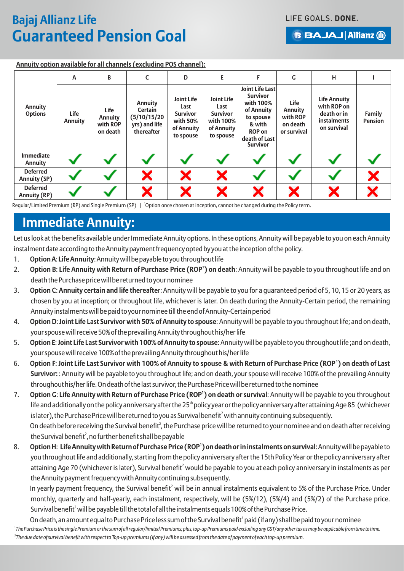#### **BBAJAJ Allianz (ii)**

| Annuity option available for all channels (excluding POS channel): |  |
|--------------------------------------------------------------------|--|
|                                                                    |  |

|                                        | A                      | B                                              | C                                                                        | D                                                                                   | E.                                                                                   | F                                                                                                                                                | G                                                             | н                                                                                      |                                 |
|----------------------------------------|------------------------|------------------------------------------------|--------------------------------------------------------------------------|-------------------------------------------------------------------------------------|--------------------------------------------------------------------------------------|--------------------------------------------------------------------------------------------------------------------------------------------------|---------------------------------------------------------------|----------------------------------------------------------------------------------------|---------------------------------|
| <b>Annuity</b><br><b>Options</b>       | Life<br><b>Annuity</b> | Life<br><b>Annuity</b><br>with ROP<br>on death | <b>Annuity</b><br>Certain<br>(5/10/15/20)<br>yrs) and life<br>thereafter | <b>Joint Life</b><br>Last<br><b>Survivor</b><br>with 50%<br>of Annuity<br>to spouse | <b>Joint Life</b><br>Last<br><b>Survivor</b><br>with 100%<br>of Annuity<br>to spouse | <b>Joint Life Last</b><br><b>Survivor</b><br>with 100%<br>of Annuity<br>to spouse<br>& with<br><b>ROP on</b><br>death of Last<br><b>Survivor</b> | Life<br><b>Annuity</b><br>with ROP<br>on death<br>or survival | <b>Life Annuity</b><br>with ROP on<br>death or in<br><b>instalments</b><br>on survival | <b>Family</b><br><b>Pension</b> |
| <b>Immediate</b><br>Annuity            |                        |                                                |                                                                          |                                                                                     |                                                                                      |                                                                                                                                                  |                                                               |                                                                                        |                                 |
| <b>Deferred</b><br><b>Annuity (SP)</b> |                        |                                                | X                                                                        | X                                                                                   | X                                                                                    |                                                                                                                                                  |                                                               |                                                                                        | X                               |
| <b>Deferred</b><br><b>Annuity (RP)</b> |                        |                                                | X                                                                        | X                                                                                   | X                                                                                    | X                                                                                                                                                | X                                                             | X                                                                                      |                                 |

Regular/Limited Premium (RP) and Single Premium (SP) | Option once chosen at inception, cannot be changed during the Policy term.

### **Immediate Annuity:**

Let us look at the benefits available under Immediate Annuity options. In these options, Annuity will be payable to you on each Annuity instalment date according to the Annuity payment frequency opted by you at the inception of the policy.

- 1. **Option A**: **Life Annuity**: Annuity will be payable to you throughout life
- **1** 2. **Option B**: **Life Annuity with Return of Purchase Price (ROP ) on death**: Annuity will be payable to you throughout life and on death the Purchase price will be returned to your nominee
- 3. **Option C**: **Annuity certain and life thereafte**r: Annuity will be payable to you for a guaranteed period of 5, 10, 15 or 20 years, as chosen by you at inception; or throughout life, whichever is later. On death during the Annuity-Certain period, the remaining Annuity instalments will be paid to your nominee till the end of Annuity-Certain period
- 4. **Option D**: **Joint Life Last Survivor with 50% of Annuity to spouse**: Annuity will be payable to you throughout life; and on death, your spouse will receive 50% of the prevailing Annuity throughout his/her life
- 5. **Option E**: **Joint Life Last Survivor with 100% of Annuity to spouse**: Annuity will be payable to you throughout life ;and on death, your spouse will receive 100% of the prevailing Annuity throughout his/her life
- **1** 6. **Option F**: **Joint Life Last Survivor with 100% of Annuity to spouse & with Return of Purchase Price (ROP ) on death of Last Survivor:** : Annuity will be payable to you throughout life; and on death, your spouse will receive 100% of the prevailing Annuity throughout his/her life. On death of the last survivor, the Purchase Price will be returned to the nominee
- **1** 7. **Option G**: **Life Annuity with Return of Purchase Price (ROP ) on death or survival**: Annuity will be payable to you throughout life and additionally on the policy anniversary after the  $25<sup>th</sup>$  policy year or the policy anniversary after attaining Age 85 (whichever is later), the Purchase Price will be returned to you as Survival benefit<sup>2</sup> with annuity continuing subsequently. On death before receiving the Survival benefit<sup>2</sup>, the Purchase price will be returned to your nominee and on death after receiving the Survival benefit<sup>2</sup>, no further benefit shall be payable
- **1** 8. **Option H**: **Life Annuity with Return of Purchase Price (ROP ) on death or in instalments on survival**: Annuity will be payable to you throughout life and additionally, starting from the policy anniversary after the 15th Policy Year or the policy anniversary after attaining Age 70 (whichever is later), Survival benefit<sup>2</sup> would be payable to you at each policy anniversary in instalments as per the Annuity payment frequency with Annuity continuing subsequently.

In yearly payment frequency, the Survival benefit<sup>2</sup> will be in annual instalments equivalent to 5% of the Purchase Price. Under monthly, quarterly and half-yearly, each instalment, respectively, will be (5%/12), (5%/4) and (5%/2) of the Purchase price. Survival benefit<sup>2</sup> will be payable till the total of all the instalments equals 100% of the Purchase Price.

On death, an amount equal to Purchase Price less sum of the Survival benefit<sup>2</sup> paid (if any) shall be paid to your nominee

*1 The Purchase Price is the single Premium or the sum of all regular/limited Premiums; plus, top-up Premiums paid excluding any GST/any other tax as may be applicable from time to time. 2 The due date of survival benefit with respect to Top-up premiums (if any) will be assessed from the date of payment of each top-up premium.*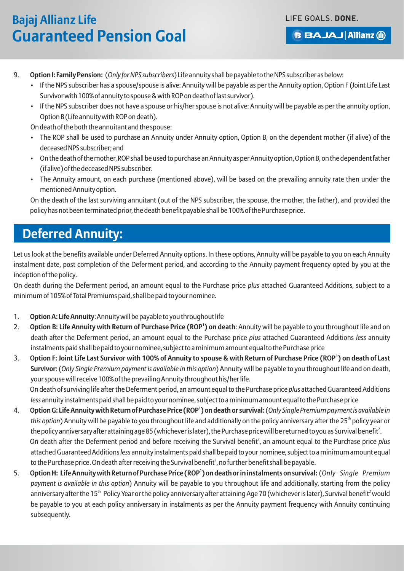#### **BBAJAJ Allianz (ii)**

- 9. **Option I: Family Pension:** (*Only for NPS subscribers*) Life annuity shall be payable to the NPS subscriber as below:
	- If the NPS subscriber has a spouse/spouse is alive: Annuity will be payable as per the Annuity option, Option F (Joint Life Last Survivor with 100% of annuity to spouse & with ROP on death of last survivor).
	- If the NPS subscriber does not have a spouse or his/her spouse is not alive: Annuity will be payable as per the annuity option, Option B (Life annuity with ROP on death).

On death of the both the annuitant and the spouse:

- The ROP shall be used to purchase an Annuity under Annuity option, Option B, on the dependent mother (if alive) of the deceased NPS subscriber; and
- On the death of the mother, ROP shall be used to purchase an Annuity as per Annuity option, Option B, on the dependent father (if alive) of the deceased NPS subscriber.
- The Annuity amount, on each purchase (mentioned above), will be based on the prevailing annuity rate then under the mentioned Annuity option.

On the death of the last surviving annuitant (out of the NPS subscriber, the spouse, the mother, the father), and provided the policy has not been terminated prior, the death benefit payable shall be 100% of the Purchase price.

### **Deferred Annuity:**

Let us look at the benefits available under Deferred Annuity options. In these options, Annuity will be payable to you on each Annuity instalment date, post completion of the Deferment period, and according to the Annuity payment frequency opted by you at the inception of the policy.

On death during the Deferment period, an amount equal to the Purchase price *plus* attached Guaranteed Additions, subject to a minimum of 105% of Total Premiums paid, shall be paid to your nominee.

- 1. **Option A: Life Annuity**: Annuity will be payable to you throughout life
- **1** 2. **Option B: Life Annuity with Return of Purchase Price (ROP ) on death**: Annuity will be payable to you throughout life and on death after the Deferment period, an amount equal to the Purchase price *plus* attached Guaranteed Additions *less* annuity instalments paid shall be paid to your nominee, subject to a minimum amount equal to the Purchase price
- **1** 3. **Option F: Joint Life Last Survivor with 100% of Annuity to spouse & with Return of Purchase Price (ROP ) on death of Last Survivor**: (*Only Single Premium payment is available in this option*) Annuity will be payable to you throughout life and on death, your spouse will receive 100% of the prevailing Annuity throughout his/her life. On death of surviving life after the Deferment period, an amount equal to the Purchase price *plus* attached Guaranteed Additions *less* annuity instalments paid shall be paid to your nominee, subject to a minimum amount equal to the Purchase price
- **1** 4. **Option G: Life Annuity with Return of Purchase Price (ROP ) on death or survival:**(*Only Single Premium payment is available in*  this option) Annuity will be payable to you throughout life and additionally on the policy anniversary after the 25<sup>th</sup> policy year or the policy anniversary after attaining age 85 (whichever is later), the Purchase price will be returned to you as Survival benefit<sup>2</sup>. On death after the Deferment period and before receiving the Survival benefit<sup>2</sup>, an amount equal to the Purchase price *plus* attached Guaranteed Additions *less* annuity instalments paid shall be paid to your nominee, subject to a minimum amount equal to the Purchase price. On death after receiving the Survival benefit<sup>2</sup>, no further benefit shall be payable.
- **1** 5. **Option H: Life Annuity with Return of Purchase Price (ROP ) on death or in instalments on survival:** (*Only Single Premium payment is available in this option*) Annuity will be payable to you throughout life and additionally, starting from the policy anniversary after the 15<sup>th</sup> Policy Year or the policy anniversary after attaining Age 70 (whichever is later), Survival benefit<sup>2</sup> would be payable to you at each policy anniversary in instalments as per the Annuity payment frequency with Annuity continuing subsequently.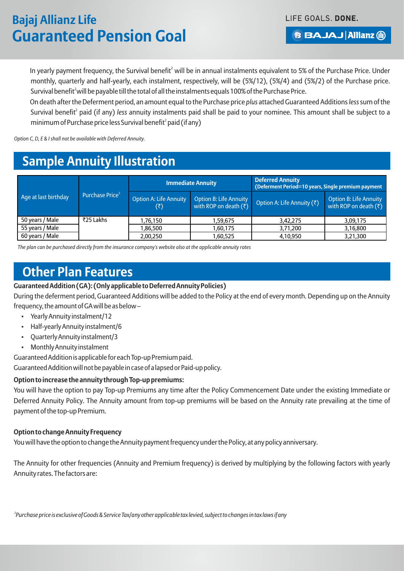LIFE GOALS. DONE.

#### **BBAJAJ Allianz (ii)**

In yearly payment frequency, the Survival benefit $^2$  will be in annual instalments equivalent to 5% of the Purchase Price. Under monthly, quarterly and half-yearly, each instalment, respectively, will be (5%/12), (5%/4) and (5%/2) of the Purchase price. Survival benefit<sup>2</sup> will be payable till the total of all the instalments equals 100% of the Purchase Price.

On death after the Deferment period, an amount equal to the Purchase price *plus* attached Guaranteed Additions *less*sum of the Survival benefit<sup>2</sup> paid (if any) *less* annuity instalments paid shall be paid to your nominee. This amount shall be subject to a  $minimum of Purchase price less Survival benefit<sup>2</sup> paid (if anv)$ 

*Option C, D, E & I shall not be available with Deferred Annuity.*

### **Sample Annuity Illustration**

|                      | Purchase Price <sup>3</sup> |                                                  | <b>Immediate Annuity</b>                                 | <b>Deferred Annuity</b><br>(Deferment Period=10 years, Single premium payment |                                                          |  |
|----------------------|-----------------------------|--------------------------------------------------|----------------------------------------------------------|-------------------------------------------------------------------------------|----------------------------------------------------------|--|
| Age at last birthday |                             | <b>Option A: Life Annuity</b><br>$(\bar{\zeta})$ | <b>Option B: Life Annuity</b><br>with ROP on death $(3)$ | Option A: Life Annuity (₹)                                                    | <b>Option B: Life Annuity</b><br>with ROP on death $(3)$ |  |
| 50 years / Male      | ₹25 Lakhs                   | 1,76,150                                         | 1,59,675                                                 | 3,42,275                                                                      | 3,09,175                                                 |  |
| 55 years / Male      |                             | 1,86,500                                         | 1,60,175                                                 | 3,71,200                                                                      | 3,16,800                                                 |  |
| 60 years / Male      |                             | 2,00,250                                         | 1,60,525                                                 | 4.10.950                                                                      | 3,21,300                                                 |  |

*The plan can be purchased directly from the insurance company's website also at the applicable annuity rates*

### **Other Plan Features**

#### **Guaranteed Addition (GA): (Only applicable to Deferred Annuity Policies)**

During the deferment period, Guaranteed Additions will be added to the Policy at the end of every month. Depending up on the Annuity frequency, the amount of GA will be as below –

- Yearly Annuity instalment/12
- Half-yearly Annuity instalment/6
- Quarterly Annuity instalment/3
- Monthly Annuity instalment

Guaranteed Addition is applicable for each Top-up Premium paid.

Guaranteed Addition will not be payable in case of a lapsed or Paid-up policy.

#### **Option to increase the annuity through Top-up premiums:**

You will have the option to pay Top-up Premiums any time after the Policy Commencement Date under the existing Immediate or Deferred Annuity Policy. The Annuity amount from top-up premiums will be based on the Annuity rate prevailing at the time of payment of the top-up Premium.

#### **Option to change Annuity Frequency**

You will have the option to change the Annuity payment frequency under the Policy, at any policy anniversary.

The Annuity for other frequencies (Annuity and Premium frequency) is derived by multiplying by the following factors with yearly Annuity rates. The factors are:

*3 Purchase price is exclusive of Goods & Service Tax/any other applicable tax levied, subject to changes in tax laws if any*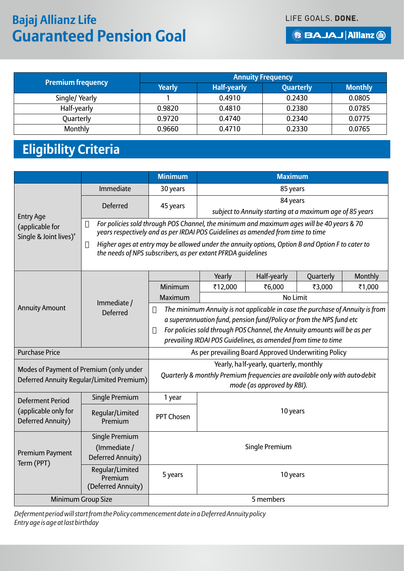#### **BBAJAJ Allianz (ii)**

|                   | <b>Annuity Frequency</b> |                    |                  |                |  |  |
|-------------------|--------------------------|--------------------|------------------|----------------|--|--|
| Premium frequency | <b>Yearly</b>            | <b>Half-yearly</b> | <b>Quarterly</b> | <b>Monthly</b> |  |  |
| Single/Yearly     |                          | 0.4910             | 0.2430           | 0.0805         |  |  |
| Half-yearly       | 0.9820                   | 0.4810             | 0.2380           | 0.0785         |  |  |
| Quarterly         | 0.9720                   | 0.4740             | 0.2340           | 0.0775         |  |  |
| Monthly           | 0.9660                   | 0.4710             | 0.2330           | 0.0765         |  |  |

# **Eligibility Criteria**

|                                                                                      |                                                                                                                                                                              | <b>Minimum</b>                                                                                                                                                                                                                                                                                     | <b>Maximum</b>                                                                                                                                                   |                 |           |         |  |  |
|--------------------------------------------------------------------------------------|------------------------------------------------------------------------------------------------------------------------------------------------------------------------------|----------------------------------------------------------------------------------------------------------------------------------------------------------------------------------------------------------------------------------------------------------------------------------------------------|------------------------------------------------------------------------------------------------------------------------------------------------------------------|-----------------|-----------|---------|--|--|
|                                                                                      | Immediate                                                                                                                                                                    | 30 years                                                                                                                                                                                                                                                                                           |                                                                                                                                                                  | 85 years        |           |         |  |  |
| <b>Entry Age</b>                                                                     | <b>Deferred</b>                                                                                                                                                              | 84 years<br>45 years<br>subject to Annuity starting at a maximum age of 85 years                                                                                                                                                                                                                   |                                                                                                                                                                  |                 |           |         |  |  |
| (applicable for<br>Single & Joint lives) <sup>4</sup>                                | For policies sold through POS Channel, the minimum and maximum ages will be 40 years & 70<br>years respectively and as per IRDAI POS Guidelines as amended from time to time |                                                                                                                                                                                                                                                                                                    |                                                                                                                                                                  |                 |           |         |  |  |
|                                                                                      |                                                                                                                                                                              |                                                                                                                                                                                                                                                                                                    | Higher ages at entry may be allowed under the annuity options, Option B and Option F to cater to<br>the needs of NPS subscribers, as per extant PFRDA guidelines |                 |           |         |  |  |
|                                                                                      |                                                                                                                                                                              |                                                                                                                                                                                                                                                                                                    | Yearly                                                                                                                                                           | Half-yearly     | Quarterly | Monthly |  |  |
|                                                                                      |                                                                                                                                                                              | Minimum                                                                                                                                                                                                                                                                                            | ₹12,000                                                                                                                                                          | ₹6,000          | ₹3,000    | ₹1,000  |  |  |
|                                                                                      | Immediate /                                                                                                                                                                  | Maximum                                                                                                                                                                                                                                                                                            |                                                                                                                                                                  | <b>No Limit</b> |           |         |  |  |
| <b>Annuity Amount</b>                                                                | <b>Deferred</b>                                                                                                                                                              | The minimum Annuity is not applicable in case the purchase of Annuity is from<br>a superannuation fund, pension fund/Policy or from the NPS fund etc<br>For policies sold through POS Channel, the Annuity amounts will be as per<br>prevailing IRDAI POS Guidelines, as amended from time to time |                                                                                                                                                                  |                 |           |         |  |  |
| <b>Purchase Price</b>                                                                |                                                                                                                                                                              | As per prevailing Board Approved Underwriting Policy                                                                                                                                                                                                                                               |                                                                                                                                                                  |                 |           |         |  |  |
| Modes of Payment of Premium (only under<br>Deferred Annuity Reqular/Limited Premium) |                                                                                                                                                                              | Yearly, half-yearly, quarterly, monthly<br>Quarterly & monthly Premium frequencies are available only with auto-debit<br>mode (as approved by RBI).                                                                                                                                                |                                                                                                                                                                  |                 |           |         |  |  |
| <b>Deferment Period</b>                                                              | Single Premium                                                                                                                                                               | 1 year                                                                                                                                                                                                                                                                                             |                                                                                                                                                                  |                 |           |         |  |  |
| (applicable only for<br>Deferred Annuity)                                            | 10 years<br>Regular/Limited<br><b>PPT Chosen</b><br>Premium                                                                                                                  |                                                                                                                                                                                                                                                                                                    |                                                                                                                                                                  |                 |           |         |  |  |
| Single Premium<br>(Immediate /                                                       |                                                                                                                                                                              | Single Premium                                                                                                                                                                                                                                                                                     |                                                                                                                                                                  |                 |           |         |  |  |
| Premium Payment<br>Term (PPT)                                                        | Deferred Annuity)                                                                                                                                                            |                                                                                                                                                                                                                                                                                                    |                                                                                                                                                                  |                 |           |         |  |  |
|                                                                                      | Regular/Limited<br>Premium<br>(Deferred Annuity)                                                                                                                             | 5 years<br>10 years                                                                                                                                                                                                                                                                                |                                                                                                                                                                  |                 |           |         |  |  |
|                                                                                      | Minimum Group Size                                                                                                                                                           | 5 members                                                                                                                                                                                                                                                                                          |                                                                                                                                                                  |                 |           |         |  |  |

*Deferment period will start from the Policy commencement date in a Deferred Annuity policy Entry age is age at last birthday*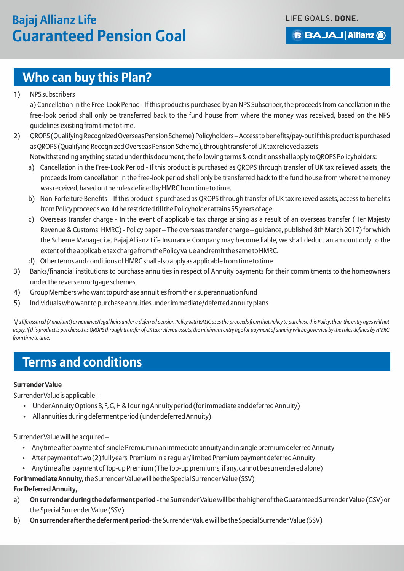### **Who can buy this Plan?**

1) NPS subscribers

a) Cancellation in the Free-Look Period - If this product is purchased by an NPS Subscriber, the proceeds from cancellation in the free-look period shall only be transferred back to the fund house from where the money was received, based on the NPS guidelines existing from time to time.

- 2) QROPS (Qualifying Recognized Overseas Pension Scheme) Policyholders Access to benefits/pay-out if this product is purchased as QROPS (Qualifying Recognized Overseas Pension Scheme), through transfer of UK tax relieved assets Notwithstanding anything stated under this document, the following terms & conditions shall apply to QROPS Policyholders:
	- a) Cancellation in the Free-Look Period If this product is purchased as QROPS through transfer of UK tax relieved assets, the proceeds from cancellation in the free-look period shall only be transferred back to the fund house from where the money was received, based on the rules defined by HMRC from time to time.
	- b) Non-Forfeiture Benefits If this product is purchased as QROPS through transfer of UK tax relieved assets, access to benefits from Policy proceeds would be restricted till the Policyholder attains 55 years of age.
	- c) Overseas transfer charge In the event of applicable tax charge arising as a result of an overseas transfer (Her Majesty Revenue & Customs HMRC) - Policy paper – The overseas transfer charge – guidance, published 8th March 2017) for which the Scheme Manager i.e. Bajaj Allianz Life Insurance Company may become liable, we shall deduct an amount only to the extent of the applicable tax charge from the Policy value and remit the same to HMRC.
	- d) Other terms and conditions of HMRC shall also apply as applicable from time to time
- 3) Banks/financial institutions to purchase annuities in respect of Annuity payments for their commitments to the homeowners under the reverse mortgage schemes
- 4) Group Members who want to purchase annuities from their superannuation fund
- 5) Individuals who want to purchase annuities under immediate/deferred annuity plans

*4 If a life assured (Annuitant) or nominee/legal heirs under a deferred pension Policy with BALIC uses the proceeds from that Policy to purchase this Policy, then, the entry ages will not apply. If this product is purchased as QROPS through transfer of UK tax relieved assets, the minimum entry age for payment of annuity will be governed by the rules defined by HMRC from time to time.*

### **Terms and conditions**

#### **Surrender Value**

Surrender Value is applicable –

- Under Annuity Options B, F, G, H & I during Annuity period (for immediate and deferred Annuity)
- All annuities during deferment period (under deferred Annuity)

Surrender Value will be acquired –

- Any time after payment of single Premium in an immediate annuity and in single premium deferred Annuity
- After payment of two (2) full years' Premium in a regular/limited Premium payment deferred Annuity
- Any time after payment of Top-up Premium (The Top-up premiums, if any, cannot be surrendered alone)

**For Immediate Annuity,**the Surrender Value will be the Special Surrender Value (SSV)

#### **For Deferred Annuity,**

- a) **On surrender during the deferment period**  the Surrender Value will be the higher of the Guaranteed Surrender Value (GSV) or the Special Surrender Value (SSV)
- b) **On surrender after the deferment period** the Surrender Value will be the Special Surrender Value (SSV)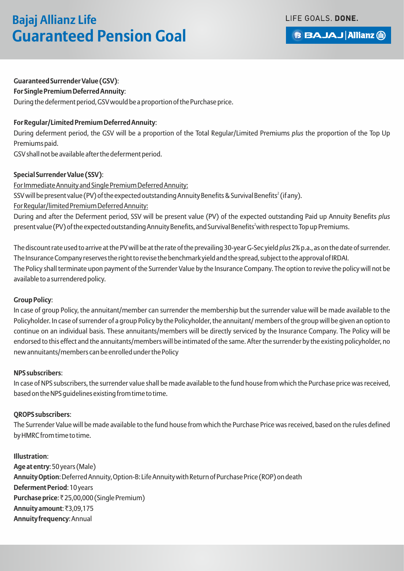LIFE GOALS. DONE.

# **Bajaj Allianz Life Guaranteed Pension Goal**

**BBAJAJ Allianz (ii)** 

#### **Guaranteed Surrender Value (GSV)**:

**For Single Premium Deferred Annuity**:

During the deferment period, GSV would be a proportion of the Purchase price.

#### **For Regular/Limited Premium Deferred Annuity**:

During deferment period, the GSV will be a proportion of the Total Regular/Limited Premiums *plus* the proportion of the Top Up Premiums paid.

GSV shall not be available after the deferment period.

#### **Special Surrender Value (SSV)**:

For Immediate Annuity and Single Premium Deferred Annuity: SSV will be present value (PV) of the expected outstanding Annuity Benefits & Survival Benefits $^2$  (if any). For Regular/limited Premium Deferred Annuity: During and after the Deferment period, SSV will be present value (PV) of the expected outstanding Paid up Annuity Benefits *plus* present value (PV) of the expected outstanding Annuity Benefits, and Survival Benefits<sup>2</sup> with respect to Top up Premiums.

The discount rate used to arrive at the PV will be at the rate of the prevailing 30-year G-Sec yield *plus* 2% p.a., as on the date of surrender. The Insurance Company reserves the right to revise the benchmark yield and the spread, subject to the approval of IRDAI. The Policy shall terminate upon payment of the Surrender Value by the Insurance Company. The option to revive the policy will not be available to a surrendered policy.

#### **Group Policy**:

In case of group Policy, the annuitant/member can surrender the membership but the surrender value will be made available to the Policyholder. In case of surrender of a group Policy by the Policyholder, the annuitant/ members of the group will be given an option to continue on an individual basis. These annuitants/members will be directly serviced by the Insurance Company. The Policy will be endorsed to this effect and the annuitants/members will be intimated of the same. After the surrender by the existing policyholder, no new annuitants/members can be enrolled under the Policy

#### **NPS subscribers**:

In case of NPS subscribers, the surrender value shall be made available to the fund house from which the Purchase price was received, based on the NPS guidelines existing from time to time.

#### **QROPS subscribers**:

The Surrender Value will be made available to the fund house from which the Purchase Price was received, based on the rules defined by HMRC from time to time.

#### **Illustration**:

**Age at entry**: 50 years (Male) **Annuity Option**: Deferred Annuity, Option-B: Life Annuity with Return of Purchase Price (ROP) on death **Deferment Period**: 10 years **Purchase price: ₹25,00,000 (Single Premium) Annuity amount: ₹3,09,175 Annuity frequency**: Annual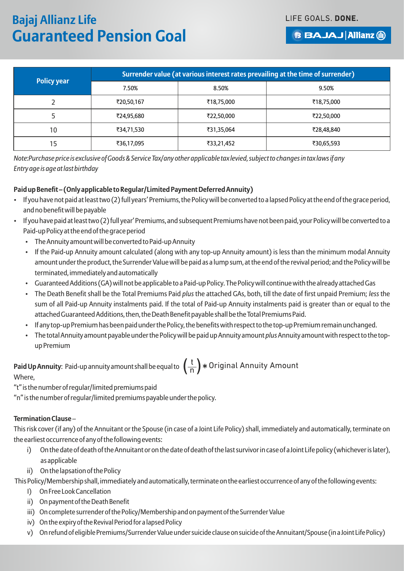**BBAJAJ Allianz (ii)** 

| <b>Policy year</b> | Surrender value (at various interest rates prevailing at the time of surrender) |            |            |  |  |  |
|--------------------|---------------------------------------------------------------------------------|------------|------------|--|--|--|
|                    | 7.50%                                                                           | 8.50%      | 9.50%      |  |  |  |
|                    | ₹20,50,167                                                                      | ₹18,75,000 | ₹18,75,000 |  |  |  |
|                    | ₹24,95,680                                                                      | ₹22,50,000 | ₹22,50,000 |  |  |  |
| 10                 | ₹34,71,530                                                                      | ₹31,35,064 | ₹28,48,840 |  |  |  |
| 15                 | ₹36,17,095                                                                      | ₹33,21,452 | ₹30,65,593 |  |  |  |

*Note:Purchase price is exclusive of Goods & Service Tax/any other applicable tax levied, subject to changes in tax laws if any Entry age is age at last birthday*

#### **Paid up Benefit – (Only applicable to Regular/Limited Payment Deferred Annuity)**

- If you have not paid at least two (2) full years' Premiums, the Policy will be converted to a lapsed Policy at the end of the grace period, and no benefit will be payable
- If you have paid at least two (2) full year' Premiums, and subsequent Premiums have not been paid, your Policy will be converted to a Paid-up Policy at the end of the grace period
	- The Annuity amount will be converted to Paid-up Annuity
	- If the Paid-up Annuity amount calculated (along with any top-up Annuity amount) is less than the minimum modal Annuity amount under the product, the Surrender Value will be paid as a lump sum, at the end of the revival period; and the Policy will be terminated, immediately and automatically
	- Guaranteed Additions (GA) will not be applicable to a Paid-up Policy. The Policy will continue with the already attached Gas
	- The Death Benefit shall be the Total Premiums Paid *plus* the attached GAs, both, till the date of first unpaid Premium; *less* the sum of all Paid-up Annuity instalments paid. If the total of Paid-up Annuity instalments paid is greater than or equal to the attached Guaranteed Additions, then, the Death Benefit payable shall be the Total Premiums Paid.
	- If any top-up Premium has been paid under the Policy, the benefits with respect to the top-up Premium remain unchanged.
	- The total Annuity amount payable under the Policy will be paid up Annuity amount *plus* Annuity amount with respect to the topup Premium

**Paid Up Annuity**: Paid-up annuity amount shall be equal to  $\left(\frac{t}{n}\right) \ast$  Original Annuity Amount<br>Where Where,

"t" is the number of regular/limited premiums paid

"n" is the number of regular/limited premiums payable under the policy.

#### **Termination Clause** –

This risk cover (if any) of the Annuitant or the Spouse (in case of a Joint Life Policy) shall, immediately and automatically, terminate on the earliest occurrence of any of the following events:

- i) On the date of death of the Annuitant or on the date of death of the last survivor in case of a Joint Life policy (whichever is later), as applicable
- ii) On the lapsation of the Policy

This Policy/Membership shall, immediately and automatically, terminate on the earliest occurrence of any of the following events:

- I) On Free Look Cancellation
- ii) On payment of the Death Benefit
- iii) On complete surrender of the Policy/Membership and on payment of the Surrender Value
- iv) On the expiry of the Revival Period for a lapsed Policy
- v) On refund of eligible Premiums/Surrender Value under suicide clause on suicide of the Annuitant/Spouse (in a Joint Life Policy)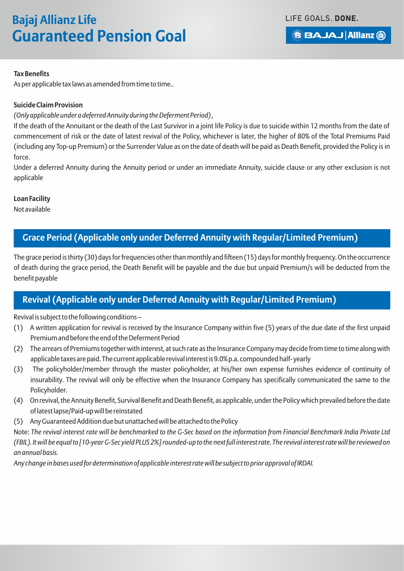LIFE GOALS. DONE.

**BBAJAJ Allianz (ii)** 

#### **Tax Benefits**

As per applicable tax laws as amended from time to time..

#### **Suicide Claim Provision**

#### *(Only applicable under a deferred Annuity during the Deferment Period) ,*

If the death of the Annuitant or the death of the Last Survivor in a joint life Policy is due to suicide within 12 months from the date of commencement of risk or the date of latest revival of the Policy, whichever is later, the higher of 80% of the Total Premiums Paid (including any Top-up Premium) or the Surrender Value as on the date of death will be paid as Death Benefit, provided the Policy is in force.

Under a deferred Annuity during the Annuity period or under an immediate Annuity, suicide clause or any other exclusion is not applicable

#### **Loan Facility**

Not available

#### **Grace Period (Applicable only under Deferred Annuity with Regular/Limited Premium)**

The grace period is thirty (30) days for frequencies other than monthly and fifteen (15) days for monthly frequency. On the occurrence of death during the grace period, the Death Benefit will be payable and the due but unpaid Premium/s will be deducted from the benefit payable

#### **Revival (Applicable only under Deferred Annuity with Regular/Limited Premium)**

Revival is subject to the following conditions –

- (1) A written application for revival is received by the Insurance Company within five (5) years of the due date of the first unpaid Premium and before the end of the Deferment Period
- (2) The arrears of Premiums together with interest, at such rate as the Insurance Company may decide from time to time along with applicable taxes are paid. The current applicable revival interest is 9.0% p.a. compounded half- yearly
- (3) The policyholder/member through the master policyholder, at his/her own expense furnishes evidence of continuity of insurability. The revival will only be effective when the Insurance Company has specifically communicated the same to the Policyholder.
- (4) On revival, the Annuity Benefit, Survival Benefit and Death Benefit, as applicable, under the Policy which prevailed before the date of latest lapse/Paid-up will be reinstated
- (5) Any Guaranteed Addition due but unattached will be attached to the Policy

Note: *The revival interest rate will be benchmarked to the G-Sec based on the information from Financial Benchmark India Private Ltd (FBIL). It will be equal to [10-year G-Sec yield PLUS 2%] rounded-up to the next full interest rate. The revival interest rate will be reviewed on an annual basis.* 

*Any change in bases used for determination of applicable interest rate will be subject to prior approval of IRDAI.*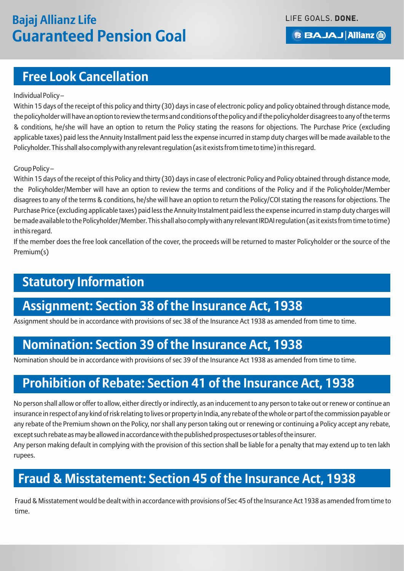### **Free Look Cancellation**

#### Individual Policy –

Within 15 days of the receipt of this policy and thirty (30) days in case of electronic policy and policy obtained through distance mode, the policyholder will have an option to review the terms and conditions of the policy and if the policyholder disagrees to any of the terms & conditions, he/she will have an option to return the Policy stating the reasons for objections. The Purchase Price (excluding applicable taxes) paid less the Annuity Installment paid less the expense incurred in stamp duty charges will be made available to the Policyholder. This shall also comply with any relevant regulation (as it exists from time to time) in this regard.

#### Group Policy –

Within 15 days of the receipt of this Policy and thirty (30) days in case of electronic Policy and Policy obtained through distance mode, the Policyholder/Member will have an option to review the terms and conditions of the Policy and if the Policyholder/Member disagrees to any of the terms & conditions, he/she will have an option to return the Policy/COI stating the reasons for objections. The Purchase Price (excluding applicable taxes) paid less the Annuity Instalment paid less the expense incurred in stamp duty charges will be made available to the Policyholder/Member. This shall also comply with any relevant IRDAI regulation (as it exists from time to time) in this regard.

If the member does the free look cancellation of the cover, the proceeds will be returned to master Policyholder or the source of the Premium(s)

### **Statutory Information**

### **Assignment: Section 38 of the Insurance Act, 1938**

Assignment should be in accordance with provisions of sec 38 of the Insurance Act 1938 as amended from time to time.

### **Nomination: Section 39 of the Insurance Act, 1938**

Nomination should be in accordance with provisions of sec 39 of the Insurance Act 1938 as amended from time to time.

### **Prohibition of Rebate: Section 41 of the Insurance Act, 1938**

No person shall allow or offer to allow, either directly or indirectly, as an inducement to any person to take out or renew or continue an insurance in respect of any kind of risk relating to lives or property in India, any rebate of the whole or part of the commission payable or any rebate of the Premium shown on the Policy, nor shall any person taking out or renewing or continuing a Policy accept any rebate, except such rebate as may be allowed in accordance with the published prospectuses or tables of the insurer.

Any person making default in complying with the provision of this section shall be liable for a penalty that may extend up to ten lakh rupees.

### **Fraud & Misstatement: Section 45 of the Insurance Act, 1938**

Fraud & Misstatement would be dealt with in accordance with provisions of Sec 45 of the Insurance Act 1938 as amended from time to time.